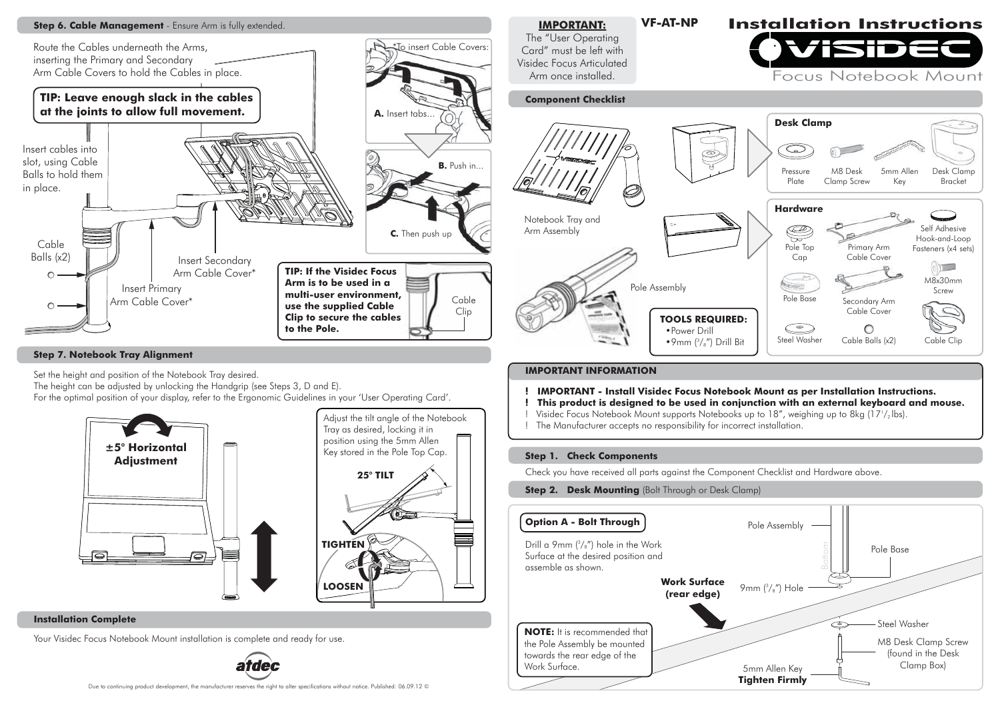

# **Step 7. Notebook Tray Alignment**

Set the height and position of the Notebook Tray desired.

The height can be adjusted by unlocking the Handgrip (see Steps 3, D and E).

For the optimal position of your display, refer to the Ergonomic Guidelines in your 'User Operating Card'.



### **Installation Complete**

Your Visidec Focus Notebook Mount installation is complete and ready for use.



#### **IMPORTANT INFORMATION**

- **! IMPORTANT Install Visidec Focus Notebook Mount as per Installation Instructions.**
- **! This product is designed to be used in conjunction with an external keyboard and mouse.**
- ! Visidec Focus Notebook Mount supports Notebooks up to 18", weighing up to 8kg (17½lbs).
- ! The Manufacturer accepts no responsibility for incorrect installation.

### **Step 1. Check Components**

Check you have received all parts against the Component Checklist and Hardware above.

### **Step 2. Desk Mounting (Bolt Through or Desk Clamp)**